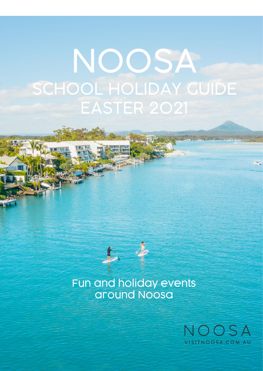# NOOSA SCHOOL HOLIDAY GUIDE EASTER 2021



Fun and holiday events around Noosa

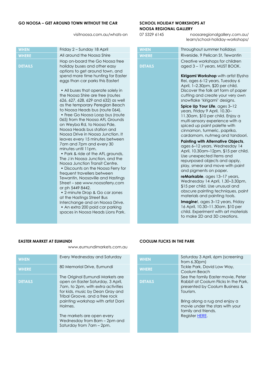### **GO NOOSA – GET AROUND TOWN WITHOUT THE CAR SCHOOL HOLIDAY WORKSHOPS AT**

## **NOOSA REGIONAL GALLERY**

visitnoosa.com.au/whats-on 07 5329 6145 [noosaregionalgallery.com.au/](http://www.noosaregionalgallery.com.au/) learn/school-holiday-workshops/

| Throughout summer holidays                                                                                                                                                                                                              |
|-----------------------------------------------------------------------------------------------------------------------------------------------------------------------------------------------------------------------------------------|
| Riverside, 9 Pelican St, Tewantin                                                                                                                                                                                                       |
| Creative workshops for children<br>aged 3 - 17 years. MUST BOOK.                                                                                                                                                                        |
| Kirigami Workshop with artist Elysha<br>Rei, ages 6-12 years, Tuesday 6<br>April, 1-2.30pm, \$20 per child.<br>Discover the folk art form of paper<br>cutting and create your very own<br>snowflake 'kirigami' designs.                 |
| Spice Up Your Life, ages 3-12<br>years, Friday 9 April, 10.30-<br>11.30am, \$10 per child. Enjoy a<br>multi-sensory experience with a<br>spiced up paint palette with<br>cinnamon, turmeric, paprika,<br>cardamom, nutmeg and tandoori. |
| <b>Painting with Alternative Objects,</b>                                                                                                                                                                                               |
| ages 6-12 years, Wednesday 14<br>April, 10.30am-12pm, \$15 per child.<br>Use unexpected items and<br>repurposed objects and apply,<br>play, smear and move with paint<br>and pigments on paper.                                         |
| reMarkable, ages 13-17 years,<br>Wednesday 14 April, 1.30-3.30pm,<br>\$15 per child. Use unusual and<br>obscure painting techniques, paint                                                                                              |

materials and painting tools. **Imagine**!, ages 3–12 years, Friday 16 April, 10.30–11.30am, \$10 per child. Experiment with art materials to make 2D and 3D creations.

[www.eumundimarkets.com.au](http://www.eumundimarkets.com.au/)

| <b>WHEN</b>    | Every Wednesday and Saturday                                                                                                                                                                                                                                                                                                 | <b>WHEN</b>    | Saturday 3 April, 6pm (screening<br>from $6.30$ pm $)$                                                                                                                                                                            |
|----------------|------------------------------------------------------------------------------------------------------------------------------------------------------------------------------------------------------------------------------------------------------------------------------------------------------------------------------|----------------|-----------------------------------------------------------------------------------------------------------------------------------------------------------------------------------------------------------------------------------|
| <b>WHERE</b>   | 80 Memorial Drive, Eumundi                                                                                                                                                                                                                                                                                                   | <b>WHERE</b>   | Tickle Park, David Low Way,<br>Coolum Beach                                                                                                                                                                                       |
| <b>DETAILS</b> | The Original Eumundi Markets are<br>open on Easter Saturday, 3 April,<br>7am, to 2pm, with extra activities<br>for kids, music by Dean Gray and<br>Tribal Groove, and a free rock<br>painting workshop with artist Dani<br>Holmes.<br>The markets are open every<br>Wednesday from 8am - 2pm and<br>Saturday from 7am - 2pm. | <b>DETAILS</b> | See the family Easter movie, Pete<br>Rabbit at Coolum Flicks In the Pa<br>presented by Coolum Business &<br>Tourism.<br>Bring along a rug and enjoy a<br>movie under the stars with your<br>family and friends.<br>Register HERE. |

### **EASTER MARKET AT EUMUNDI COOLUM FLICKS IN THE PARK**

| <b>WHEN</b>    | Saturday 3 April, 6pm (screening<br>from 6.30 <sub>pm</sub>                                                              |
|----------------|--------------------------------------------------------------------------------------------------------------------------|
| <b>WHERE</b>   | Tickle Park, David Low Way,<br>Coolum Beach                                                                              |
| <b>DETAILS</b> | See the family Easter movie, Peter<br>Rabbit at Coolum Flicks In the Park.<br>presented by Coolum Business &<br>Tourism. |
|                | Bring along a rug and enjoy a<br>movie under the stars with your<br>family and friends.<br>Register HERE.                |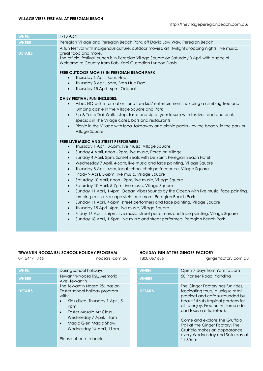| <b>WHEN</b>    | 1-18 April                                                                                                                                                                                                                                                                                                                                                                                                                                                                                                                                                                                                                                                                                                                                                                                                                                                                                                                                                                                                                                                                                                                                                                                                                  |
|----------------|-----------------------------------------------------------------------------------------------------------------------------------------------------------------------------------------------------------------------------------------------------------------------------------------------------------------------------------------------------------------------------------------------------------------------------------------------------------------------------------------------------------------------------------------------------------------------------------------------------------------------------------------------------------------------------------------------------------------------------------------------------------------------------------------------------------------------------------------------------------------------------------------------------------------------------------------------------------------------------------------------------------------------------------------------------------------------------------------------------------------------------------------------------------------------------------------------------------------------------|
| <b>WHERE</b>   | Peregian Village and Peregian Beach Park, off David Low Way, Peregian Beach                                                                                                                                                                                                                                                                                                                                                                                                                                                                                                                                                                                                                                                                                                                                                                                                                                                                                                                                                                                                                                                                                                                                                 |
| <b>DETAILS</b> | A fun festival with Indigenous culture, outdoor movies, art, twilight shopping nights, live music,<br>great food and more.<br>The official festival launch is in Peregian Village Square on Saturday 3 April with a special<br>Welcome to Country from Kabi Kabi Custodian Lyndon Davis.                                                                                                                                                                                                                                                                                                                                                                                                                                                                                                                                                                                                                                                                                                                                                                                                                                                                                                                                    |
|                | FREE OUTDOOR MOVIES IN PEREGIAN BEACH PARK<br>Thursday 1 April, 6pm, Hop<br>$\bullet$<br>Thursday 8 April, 6pm, Bran Nue Dae<br>$\bullet$<br>Thursday 15 April, 6pm, Oddball<br>$\bullet$<br><b>DAILY FESTIVAL FUN INCLUDES:</b>                                                                                                                                                                                                                                                                                                                                                                                                                                                                                                                                                                                                                                                                                                                                                                                                                                                                                                                                                                                            |
|                | Vibes HQ with information, and free kids' entertainment including a climbing tree and<br>$\bullet$<br>jumping castle in the Village Square and Park<br>Sip & Taste Trail Walk - stop, taste and sip at your leisure with festival food and drink<br>$\bullet$<br>specials in The Village cafes, bars and restaurants<br>Picnic in the Village with local takeaway and picnic packs - by the beach, in the park or<br>$\bullet$<br>Village Square                                                                                                                                                                                                                                                                                                                                                                                                                                                                                                                                                                                                                                                                                                                                                                            |
|                | <b>FREE LIVE MUSIC AND STREET PERFORMERS:</b><br>Thursday 1 April, 3-5pm, live music, Village Square<br>$\bullet$<br>Sunday 4 April, noon - 2pm, live music, Peregian Village<br>$\bullet$<br>Sunday 4 April, 3pm, Sunset Beats with De Saint, Peregian Beach Hotel<br>$\bullet$<br>Wednesday 7 April, 4-6pm, live music and face painting, Village Square<br>$\bullet$<br>Thursday 8 April, 4pm, local school choir performance, Village Square<br>$\bullet$<br>Friday 9 April, 3-6pm, live music, Village Square<br>$\bullet$<br>Saturday 10 April, noon - 2pm, live music, Village Square<br>$\bullet$<br>Saturday 10 April, 5-7pm, live music, Village Square<br>$\bullet$<br>Sunday 11 April, 1-4pm, Ocean Vibes Sounds by the Ocean with live music, face painting,<br>$\bullet$<br>jumping castle, sausage sizzle and more, Peregian Beach Park<br>Sunday 11 April, 4-5pm, street performers and face painting, Village Square<br>$\bullet$<br>Thursday 15 April, 4pm, live music, Village Square<br>$\bullet$<br>Friday 16 April, 4-6pm, live music, street performers and face painting, Village Square<br>$\bullet$<br>Sunday 18 April, 1-5pm, live music and street performers, Peregian Beach Park<br>$\bullet$ |

### **TEWANTIN NOOSA RSL SCHOOL HOLIDAY PROGRAM HOLIDAY FUN AT THE GINGER FACTORY**

07 5447 1766 hoosarsl.com.au 1800 067 686 moosarsl.com.au 300 067 686 mm au 1800 067 686 mm au 1800 067 686 mm au

| <b>WHEN</b>    | During school holidays                                                                                                                                                                                                                                                 | <b>WHEN</b>    | Open 7 days from 9am to 5pm                                                                                                                                                                                                                                                                                                                                   |
|----------------|------------------------------------------------------------------------------------------------------------------------------------------------------------------------------------------------------------------------------------------------------------------------|----------------|---------------------------------------------------------------------------------------------------------------------------------------------------------------------------------------------------------------------------------------------------------------------------------------------------------------------------------------------------------------|
| <b>WHERE</b>   | Tewantin-Noosa RSL, Memorial<br>Ave, Tewantin                                                                                                                                                                                                                          | <b>WHERE</b>   | 50 Pioneer Road, Yandina                                                                                                                                                                                                                                                                                                                                      |
| <b>DETAILS</b> | The Tewantin Noosa RSL has an<br>Easter school holiday program<br>with:<br>Kids disco, Thursday 1 April, 5-<br>7 <sub>pm</sub><br>Easter Mosaic Art Class,<br>Wednesday 7 April, 11am<br>Magic Glen Magic Show,<br>Wednesday 14 April, 11 am.<br>Please phone to book. | <b>DETAILS</b> | The Ginger Factory has fun ride<br>fascinating tours, a unique reta<br>precinct and cafe surrounded<br>beautiful sub-tropical gardens t<br>all to enjoy. Free entry (some rided<br>and tours are ticketed).<br>Come and explore The Gruffak<br>Trail at the Ginger Factory! The<br>Gruffalo makes an appearance<br>every Wednesday and Saturda<br>$11:30$ am. |
|                |                                                                                                                                                                                                                                                                        |                |                                                                                                                                                                                                                                                                                                                                                               |

| During school holidays                                                                                                                                                                                                                                                                            | <b>WHEN</b>    | Open 7 days from 9am to 5pm                                                                                                                                                                                                                                                                                                                                              |
|---------------------------------------------------------------------------------------------------------------------------------------------------------------------------------------------------------------------------------------------------------------------------------------------------|----------------|--------------------------------------------------------------------------------------------------------------------------------------------------------------------------------------------------------------------------------------------------------------------------------------------------------------------------------------------------------------------------|
| Tewantin-Noosa RSL, Memorial<br>Ave, Tewantin                                                                                                                                                                                                                                                     | <b>WHERE</b>   | 50 Pioneer Road, Yandina                                                                                                                                                                                                                                                                                                                                                 |
| The Tewantin Noosa RSL has an<br>Easter school holiday program<br>with:<br>Kids disco, Thursday 1 April, 5-<br>$\bullet$<br>7pm<br>$\bullet$<br>Easter Mosaic Art Class,<br>Wednesday 7 April, 11am<br>Magic Glen Magic Show,<br>$\bullet$<br>Wednesday 14 April, 11 am.<br>Please phone to book. | <b>DETAILS</b> | The Ginger Factory has fun rides,<br>fascinating tours, a unique retail<br>precinct and cafe surrounded by<br>beautiful sub-tropical gardens for<br>all to enjoy. Free entry (some rides<br>and tours are ticketed).<br>Come and explore The Gruffalo<br>Trail at the Ginger Factory! The<br>Gruffalo makes an appearance<br>every Wednesday and Saturday at<br>11:30am. |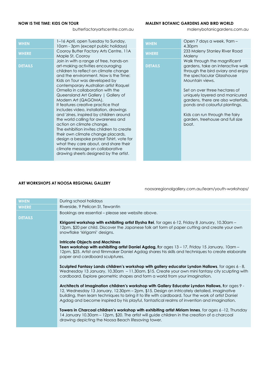### **NOW IS THE TIME: KIDS ON TOUR SERVICE SERVICES AND STANIC GARDENS AND BIRD WORLD**

butterfactoryartscentre.com.au malenybotanicgardens.com.au

| <b>WHEN</b>    | 1–16 April, open Tuesday to Sunday,<br>10am - 3pm (except public holidays)                                                                                                                                                                                                                                                                                                                                                                                                                                                                                                                                                                                                                                                                                                                        |
|----------------|---------------------------------------------------------------------------------------------------------------------------------------------------------------------------------------------------------------------------------------------------------------------------------------------------------------------------------------------------------------------------------------------------------------------------------------------------------------------------------------------------------------------------------------------------------------------------------------------------------------------------------------------------------------------------------------------------------------------------------------------------------------------------------------------------|
| <b>WHERE</b>   | Cooroy Butter Factory Arts Centre, 11A<br>Maple St, Cooroy                                                                                                                                                                                                                                                                                                                                                                                                                                                                                                                                                                                                                                                                                                                                        |
| <b>DETAILS</b> | Join in with a range of free, hands-on<br>art-making activities encouraging<br>children to reflect on climate change<br>and the environment. Now is the Time:<br>Kids on Tour was developed by<br>contemporary Australian artist Raquel<br>Ormella in collaboration with the<br>Queensland Art Gallery   Gallery of<br>Modern Art (QAGOMA).<br>It features creative practice that<br>includes video, installation, drawings<br>and 'zines, inspired by children around<br>the world calling for awareness and<br>action on climate change.<br>The exhibition invites children to create<br>their own climate change placards,<br>design a bespoke protest Tshirt, vote for<br>what they care about, and share their<br>climate message on collaborative<br>drawing sheets designed by the artist. |
|                |                                                                                                                                                                                                                                                                                                                                                                                                                                                                                                                                                                                                                                                                                                                                                                                                   |

| 1–16 April, open Tuesday to Sunday,<br>10am - 3pm (except public holidays)                                                                                                                                                                                                                                                                                                                                                                                                                                                                                                                                                                                                                                                                              | <b>WHEN</b>    | Open 7 days a week, 9am -<br>4.30pm                                                                                                                                                                                                                                                                                                                                               |
|---------------------------------------------------------------------------------------------------------------------------------------------------------------------------------------------------------------------------------------------------------------------------------------------------------------------------------------------------------------------------------------------------------------------------------------------------------------------------------------------------------------------------------------------------------------------------------------------------------------------------------------------------------------------------------------------------------------------------------------------------------|----------------|-----------------------------------------------------------------------------------------------------------------------------------------------------------------------------------------------------------------------------------------------------------------------------------------------------------------------------------------------------------------------------------|
| Cooroy Butter Factory Arts Centre, 11A<br>Maple St, Cooroy                                                                                                                                                                                                                                                                                                                                                                                                                                                                                                                                                                                                                                                                                              | <b>WHERE</b>   | 233 Maleny Stanley River Road<br>Maleny                                                                                                                                                                                                                                                                                                                                           |
| Join in with a range of free, hands-on<br>art-making activities encouraging<br>children to reflect on climate change<br>and the environment. Now is the Time:<br>Kids on Tour was developed by<br>contemporary Australian artist Raquel<br>Ormella in collaboration with the<br>Queensland Art Gallery   Gallery of<br>Modern Art (QAGOMA).<br>It features creative practice that<br>includes video, installation, drawings<br>and 'zines, inspired by children around<br>the world calling for awareness and<br>action on climate change.<br>The exhibition invites children to create<br>their own climate change placards,<br>design a bespoke protest Tshirt, vote for<br>what they care about, and share their<br>climate message on collaborative | <b>DETAILS</b> | Walk through the magnificent<br>gardens, take an interactive walk<br>through the bird aviary and enjoy<br>the spectacular Glasshouse<br>Mountain views.<br>Set on over three hectares of<br>uniquely layered and manicured<br>gardens, there are also waterfalls,<br>ponds and colourful plantings.<br>Kids can run through the fairy<br>garden, treehouse and full size<br>boat. |
| drawing sheets designed by the artist.                                                                                                                                                                                                                                                                                                                                                                                                                                                                                                                                                                                                                                                                                                                  |                |                                                                                                                                                                                                                                                                                                                                                                                   |

### **ART WORKSHOPS AT NOOSA REGIONAL GALLERY**

noosaregionalgallery.com.au/learn/youth-workshops/

| <b>WHEN</b>    | During school holidays                                                                                                                                                                                                                                                                                                                                                                             |
|----------------|----------------------------------------------------------------------------------------------------------------------------------------------------------------------------------------------------------------------------------------------------------------------------------------------------------------------------------------------------------------------------------------------------|
| <b>WHERE</b>   | Riverside, 9 Pelican St, Tewantin                                                                                                                                                                                                                                                                                                                                                                  |
| <b>DETAILS</b> | Bookings are essential – please see website above.                                                                                                                                                                                                                                                                                                                                                 |
|                | Kirigami workshop with exhibiting artist Elysha Rei, for ages 6-12, Friday 8 January, 10.30am -<br>12pm, \$20 per child. Discover the Japanese folk art form of paper cutting and create your own<br>snowflake 'kirigami' designs.                                                                                                                                                                 |
|                | <b>Intricate Objects and Machines</b><br><b>Teen workshop with exhibiting artist Daniel Agdag, for ages 13 – 17, Friday 15 January, 10am –</b><br>12pm, \$25. Artist and filmmaker Daniel Agdag shares his skills and techniques to create elaborate<br>paper and cardboard sculptures.                                                                                                            |
|                | Sculpted Fantasy Lands children's workshop with gallery educator Lyndon Hallows, for ages 6 - 8,<br>Wednesday 13 January, 10.30am - 11.30am, \$15. Create your own mini fantasy city sculpting with<br>cardboard. Explore geometric shapes and form a world from your imagination.                                                                                                                 |
|                | Architects of Imagination children's workshop with Gallery Educator Lyndon Hallows, for ages 9 -<br>12, Wednesday 13 January, 12.30pm - 2pm, \$15. Design an intricately detailed, imaginative<br>building, then learn techniques to bring it to life with cardboard. Tour the work of artist Daniel<br>Agdag and become inspired by his playful, fantastical realms of invention and imagination. |
|                | Towers in Charcoal children's workshop with exhibiting artist Miriam Innes, for ages 6-12, Thursday<br>14 January 10.30am - 12pm, \$20. The artist will guide children in the creation of a charcoal<br>drawing depicting the Noosa Beach lifesaving tower.                                                                                                                                        |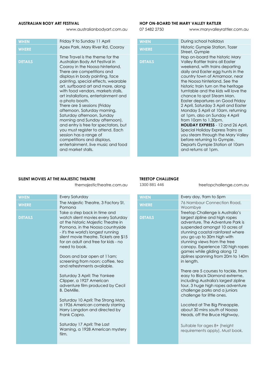www.australianbodyart.com.au 07 5482 2750 www.maryvalleyrattler.com.au

| <b>WHEN</b>    | Friday 9 to Sunday 11 April                                                                                                                                                                                                                                                                                                                                                                                                                                                                                                                                                                                                                                                            | <b>WHEN</b>    | During school holidays                                                                                                                                                                                                                                                                                                                                                                                                                                                                                                                                                                                                                                          |
|----------------|----------------------------------------------------------------------------------------------------------------------------------------------------------------------------------------------------------------------------------------------------------------------------------------------------------------------------------------------------------------------------------------------------------------------------------------------------------------------------------------------------------------------------------------------------------------------------------------------------------------------------------------------------------------------------------------|----------------|-----------------------------------------------------------------------------------------------------------------------------------------------------------------------------------------------------------------------------------------------------------------------------------------------------------------------------------------------------------------------------------------------------------------------------------------------------------------------------------------------------------------------------------------------------------------------------------------------------------------------------------------------------------------|
| <b>WHERE</b>   | Apex Park, Mary River Rd, Cooroy                                                                                                                                                                                                                                                                                                                                                                                                                                                                                                                                                                                                                                                       | <b>WHERE</b>   | Historic Gympie Station, Tozer<br>Street, Gympie                                                                                                                                                                                                                                                                                                                                                                                                                                                                                                                                                                                                                |
| <b>DETAILS</b> | Time Travel is the theme for the<br>Australian Body Art Festival in<br>Cooroy in the Noosa hinterland.<br>There are competitions and<br>displays in body painting, face<br>painting, special effects, wearable<br>art, surfboard art and more, along<br>with food vendors, markets stalls,<br>art installations, entertainment and<br>a photo booth.<br>There are 5 sessions (Friday<br>afternoon, Saturday morning,<br>Saturday afternoon, Sunday<br>morning and Sunday afternoon),<br>and entry is free for spectators, but<br>you must register to attend. Each<br>session has a range of<br>competitions and displays,<br>entertainment, live music and food<br>and market stalls. | <b>DETAILS</b> | Hop on-board the historic Mar<br>Valley Rattler trains all Easter<br>weekend, with trains departin<br>daily and Easter egg hunts in<br>country town of Amamoor, ne<br>the Noosa hinterland. See the<br>historic train turn on the herita<br>turntable and the kids will love<br>chance to spot Steam Man.<br>Easter departures on Good Fri<br>2 April, Saturday 3 April and Eq<br>Monday 5 April at 10am, retur<br>at 1pm, also on Sunday 4 Apri<br>from 10am to 1.30pm.<br>HOLIDAY EXPRESS - 12 and 26<br>Special Holiday Express Trains<br>you steam through the Mary \<br>before returning to Gympie.<br>Departs Gympie Station at 10<br>and returns at 1pm. |
|                |                                                                                                                                                                                                                                                                                                                                                                                                                                                                                                                                                                                                                                                                                        |                |                                                                                                                                                                                                                                                                                                                                                                                                                                                                                                                                                                                                                                                                 |

### **AUSTRALIAN BODY ART FESTIVAL HOP ON-BOARD THE MARY VALLEY RATTLER**

| <b>WHEN</b>    | During school holidays                                                                                                                                                                                                                                                                                                                                                                                                                                                                                                                                                                                                                                                                                            |
|----------------|-------------------------------------------------------------------------------------------------------------------------------------------------------------------------------------------------------------------------------------------------------------------------------------------------------------------------------------------------------------------------------------------------------------------------------------------------------------------------------------------------------------------------------------------------------------------------------------------------------------------------------------------------------------------------------------------------------------------|
| <b>WHERE</b>   | Historic Gympie Station, Tozer<br>Street, Gympie                                                                                                                                                                                                                                                                                                                                                                                                                                                                                                                                                                                                                                                                  |
| <b>DETAILS</b> | Hop on-board the historic Mary<br>Valley Rattler trains all Easter<br>weekend, with trains departing<br>daily and Easter egg hunts in the<br>country town of Amamoor, near<br>the Noosa hinterland. See the<br>historic train turn on the heritage<br>turntable and the kids will love the<br>chance to spot Steam Man.<br>Easter departures on Good Friday<br>2 April, Saturday 3 April and Easter<br>Monday 5 April at 10am, returning<br>at 1pm, also on Sunday 4 April<br>from 10am to 1.30pm.<br><b>HOLIDAY EXPRESS</b> - 12 and 26 April,<br>Special Holiday Express Trains as<br>you steam through the Mary Valley<br>before returning to Gympie.<br>Departs Gympie Station at 10am<br>and returns at 1pm. |
|                |                                                                                                                                                                                                                                                                                                                                                                                                                                                                                                                                                                                                                                                                                                                   |

### SILENT MOVIES AT THE MAJESTIC THEATRE **THEAT ASSESSMENT OF A SET OF CHALLENGE**

themajestictheatre.com.au 1300 881 446 treetopchallenge.com.au

| <b>WHEN</b>    | <b>Every Saturday</b>                                                                                                                                                                                                                                                                                                                                                                                                                                                                                                                                                                                                                                                                                                | <b>WHEN</b>    | Every day, 9am to 5pm                                                                                                                                                                                                                                                                                                                                                                                                                                                                                                                                                                        |
|----------------|----------------------------------------------------------------------------------------------------------------------------------------------------------------------------------------------------------------------------------------------------------------------------------------------------------------------------------------------------------------------------------------------------------------------------------------------------------------------------------------------------------------------------------------------------------------------------------------------------------------------------------------------------------------------------------------------------------------------|----------------|----------------------------------------------------------------------------------------------------------------------------------------------------------------------------------------------------------------------------------------------------------------------------------------------------------------------------------------------------------------------------------------------------------------------------------------------------------------------------------------------------------------------------------------------------------------------------------------------|
| <b>WHERE</b>   | The Majestic Theatre, 3 Factory St,<br>Pomona                                                                                                                                                                                                                                                                                                                                                                                                                                                                                                                                                                                                                                                                        | <b>WHERE</b>   | <b>76 Nambour Connection</b><br>Woombve                                                                                                                                                                                                                                                                                                                                                                                                                                                                                                                                                      |
| <b>DETAILS</b> | Take a step back in time and<br>watch silent movies every Saturday<br>at the historic Majestic Theatre in<br>Pomona, in the Noosa countryside<br>- it's the world's longest running<br>silent movie theatre. Tickets are \$15<br>for an adult and free for kids - no<br>need to book.<br>Doors and bar open at 11 am;<br>screening from noon; coffee, tea<br>and refreshments available.<br>Saturday 3 April: The Yankee<br>Clipper, a 1927 American<br>adventure film produced by Cecil<br><b>B.</b> DeMille.<br>Saturday 10 April: The Strong Man,<br>a 1926 American comedy starring<br>Harry Langdon and directed by<br>Frank Capra.<br>Saturday 17 April: The Last<br>Warning, a 1928 American mystery<br>film. | <b>DETAILS</b> | Treetop Challenge is Ar<br>largest zipline and high<br>adventure, The Advent<br>suspended amongst 10<br>stunning coastal rainfor<br>you go up to 30m high<br>stunning views from the<br>canopy. Experience 12<br>games while gliding ald<br>ziplines spanning from 2<br>in length.<br>There are 5 courses to t<br>easy to Black Diamond<br>including Australia's larg<br>tour, 3 huge high ropes<br>challenge parks and a<br>challenge for little ones<br>Located at The Big Pine<br>about 30 mins south of<br>Heads, off the Bruce Hi<br>Suitable for ages 8+ (he<br>requirements apply). M |

| <b>WHEN</b>    | Every day, 9am to 5pm                                                                                                                                                                                                                                                                                           |
|----------------|-----------------------------------------------------------------------------------------------------------------------------------------------------------------------------------------------------------------------------------------------------------------------------------------------------------------|
| <b>WHERE</b>   | 76 Nambour Connection Road,<br>Woombve                                                                                                                                                                                                                                                                          |
| <b>DETAILS</b> | Treetop Challenge is Australia's<br>largest zipline and high ropes<br>adventure, The Adventure Park is<br>suspended amongst 10 acres of<br>stunning coastal rainforest where<br>you go up to 30m high with<br>stunning views from the tree<br>canopy. Experience 120 high ropes<br>games while gliding along 12 |
|                | ziplines spanning from 20m to 140m<br>in length.                                                                                                                                                                                                                                                                |
|                | There are 5 courses to tackle, from<br>easy to Black Diamond extreme,<br>including Australia's largest zipline<br>tour, 3 huge high ropes adventure<br>challenge parks and a juniors<br>challenge for little ones.                                                                                              |
|                | Located at The Big Pineapple,<br>about 30 mins south of Noosa<br>Heads, off the Bruce Highway,                                                                                                                                                                                                                  |
|                | Suitable for ages 8+ (height<br>requirements apply). Must book.                                                                                                                                                                                                                                                 |
|                |                                                                                                                                                                                                                                                                                                                 |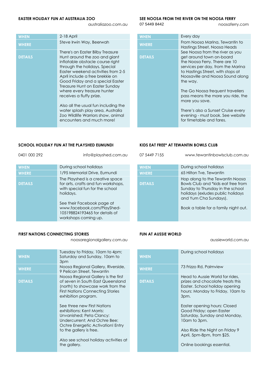australiazoo.com.au 07 5449 8442 noosaferry.com

| <b>WHEN</b>    | 2-18 April                                                                                                                                                                                                                                                                                                                                                                                                                                                                                       | <b>WHEN</b>    | Every day                                                                                                                                                                                                                                                                                                                                                                                                           |
|----------------|--------------------------------------------------------------------------------------------------------------------------------------------------------------------------------------------------------------------------------------------------------------------------------------------------------------------------------------------------------------------------------------------------------------------------------------------------------------------------------------------------|----------------|---------------------------------------------------------------------------------------------------------------------------------------------------------------------------------------------------------------------------------------------------------------------------------------------------------------------------------------------------------------------------------------------------------------------|
| <b>WHERE</b>   | Steve Irwin Way, Beerwah                                                                                                                                                                                                                                                                                                                                                                                                                                                                         | <b>WHERE</b>   | From Noosa Marina, Tewantin to<br>Hastings Street, Noosa Heads                                                                                                                                                                                                                                                                                                                                                      |
| <b>DETAILS</b> | There's an Easter Bilby Treasure<br>Hunt around the zoo and giant<br>inflatable obstacle course right<br>through the holidays. Special<br>Easter weekend activities from 2-5<br>April include a free brekkie on<br>Good Friday and a special Easter<br>Treasure Hunt on Easter Sunday<br>where every treasure hunter<br>receives a fluffy prize.<br>Also all the usual fun including the<br>water splash play area, Australia<br>Zoo Wildlife Warriors show, animal<br>encounters and much more! | <b>DETAILS</b> | See Noosa from the river as you<br>get around town on-board<br>the Noosa Ferry. There are 10<br>services per day, from the Marino<br>to Hastings Street, with stops at<br>Noosaville and Noosa Sound alo<br>the way.<br>The Go Noosa frequent travellers<br>pass means the more you ride, th<br>more you save.<br>There's also a Sunset Cruise even<br>evening - must book. See website<br>for timetable and fares. |

### **EASTER HOLIDAY FUN AT AUSTRALIA ZOO SEE NOOSA FROM THE RIVER ON THE NOOSA FERRY**

| <b>WHEN</b>    | Every day                                                                                                                                                                                                              |
|----------------|------------------------------------------------------------------------------------------------------------------------------------------------------------------------------------------------------------------------|
| <b>WHERE</b>   | From Noosa Marina, Tewantin to<br>Hastings Street, Noosa Heads                                                                                                                                                         |
| <b>DETAILS</b> | See Noosa from the river as you<br>get around town on-board<br>the Noosa Ferry. There are 10<br>services per day, from the Marina<br>to Hastings Street, with stops at<br>Noosaville and Noosa Sound along<br>the way. |
|                | The Go Noosa frequent travellers<br>pass means the more you ride, the<br>more you save.                                                                                                                                |
|                | There's also a Sunset Cruise every<br>evening - must book. See website<br>for timetable and fares.                                                                                                                     |

### **SCHOOL HOLIDAY FUN AT THE PLAYSHED EUMUNDI KIDS EAT FREE\* AT TEWANTIN BOWLS CLUB**

| 0401 000 292                | info@playshed.com.au                                                                                                                                  | 07 5449 7155                | www.tewantinbowls                                                                                                        |
|-----------------------------|-------------------------------------------------------------------------------------------------------------------------------------------------------|-----------------------------|--------------------------------------------------------------------------------------------------------------------------|
| <b>WHEN</b><br><b>WHERE</b> | During school holidays<br>1/95 Memorial Drive, Eumundi                                                                                                | <b>WHEN</b><br><b>WHERE</b> | During school holidays<br>65 Hilton Tve, Tewantin                                                                        |
| <b>DETAILS</b>              | The Playshed is a creative space<br>for arts, crafts and fun workshops,<br>with special fun for the school<br>holidays.<br>See their Facebook page at | <b>DETAILS</b>              | Hop along to the Tewo<br>Bowls Club and *kids e<br>Sunday to Thursday in<br>holidays (exludes publ<br>and Yum Cha Sunday |
|                             | www.facebook.com/PlayShed-<br>105198824193465 for details of<br>workshops coming up.                                                                  |                             | Book a table for a fam                                                                                                   |

### **FIRST NATIONS CONNECTING STORIES FUN AT AUSSIE WORLD**

noosaregionalgallery.com.au aussieworld.com.au aussieworld.com.au

| <b>WHEN</b>    | Tuesday to Friday, 10am to 4pm;<br>Saturday and Sunday, 10am to<br>3pm                                                                                                               |
|----------------|--------------------------------------------------------------------------------------------------------------------------------------------------------------------------------------|
| <b>WHERE</b>   | Noosa Regional Gallery, Riverside,<br>9 Pelican Street, Tewantin                                                                                                                     |
| <b>DETAILS</b> | Noosa Regional Gallery is the first<br>of seven in South East Queensland<br>(north) to showcase work from the<br><b>First Nations Connecting Stories</b><br>exhibition program.      |
|                | See three new First Nations<br>exhibitions: Kent Morris:<br>Unvanished; Peta Clancy:<br>Undercurrent: And Ochre Bee:<br>Ochre Energetic Activation! Entry<br>to the gallery is free. |
|                | Also see school holiday activities at<br>the gallery.                                                                                                                                |

| 0401 000 292   | info@playshed.com.au                                                                                                    | 07 5449 7155   | www.tewantinbowlsclub.com.au                                                                                                                                            |
|----------------|-------------------------------------------------------------------------------------------------------------------------|----------------|-------------------------------------------------------------------------------------------------------------------------------------------------------------------------|
|                |                                                                                                                         |                |                                                                                                                                                                         |
| <b>WHEN</b>    | During school holidays                                                                                                  | <b>WHEN</b>    | During school holidays                                                                                                                                                  |
| <b>WHERE</b>   | 1/95 Memorial Drive, Eumundi                                                                                            | <b>WHERE</b>   | 65 Hilton Tve, Tewantin                                                                                                                                                 |
| <b>DETAILS</b> | The Playshed is a creative space<br>for arts, crafts and fun workshops,<br>with special fun for the school<br>holidays. | <b>DETAILS</b> | Hop along to the Tewantin Noosa<br>Bowls Club and *kids eat free from<br>Sunday to Thursday in the school<br>holidays (exludes public holidays<br>and Yum Cha Sundays). |
|                | See their Facebook page at<br>www.facebook.com/PlayShed-<br>105198824193465 for details of<br>workshops coming up       |                | Book a table for a family night out.                                                                                                                                    |

| Tuesday to Friday, 10am to 4pm;<br>Saturday and Sunday, 10am to<br>3pm                                                                                                               | <b>WHEN</b>    | During school holidays                                                                                                                            |
|--------------------------------------------------------------------------------------------------------------------------------------------------------------------------------------|----------------|---------------------------------------------------------------------------------------------------------------------------------------------------|
| Noosa Regional Gallery, Riverside,<br>9 Pelican Street, Tewantin                                                                                                                     | <b>WHERE</b>   | 73 Frizzo Rd, Palmview                                                                                                                            |
| Noosa Regional Gallery is the first<br>of seven in South East Queensland<br>(north) to showcase work from the<br><b>First Nations Connecting Stories</b><br>exhibition program.      | <b>DETAILS</b> | Head to Aussie World for rides.<br>prizes and chocolate treats this<br>Easter. School holiday opening<br>hours: Monday to Friday, 10am to<br>3pm. |
| See three new First Nations<br>exhibitions: Kent Morris:<br>Unvanished; Peta Clancy:<br>Undercurrent; And Ochre Bee:<br>Ochre Energetic Activation! Entry<br>to the gallery is free. |                | Easter opening hours: Closed<br>Good Friday; open Easter<br>Saturday, Sunday and Monday,<br>10am to 3pm.<br>Also Ride the Night on Friday 9       |
| Also see school holiday activities at<br>the gallery.                                                                                                                                |                | April, 5pm-8pm, from \$25.<br>Online bookings essential.                                                                                          |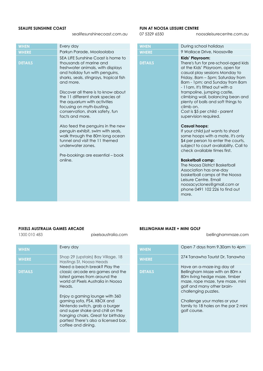sealifesunshinecoast.com.au 07 5329 6550 noosaleisurecentre.com.au

| Parkyn Parade, Mooloolaba<br><b>WHERE</b><br><b>WHERE</b><br>SEA LIFE Sunshine Coast is home to<br><b>DETAILS</b><br>thousands of marine and<br><b>DETAILS</b><br>freshwater animals, with displays                                                                                                                                                                                                                                                                                                       | 9 Wallace Drive, Noosaville<br>Kids' Playroom:<br>There's fun for pre-school-a<br>at the Kids' Playroom, oper<br>casual play sessions Mondo<br>Friday, 8am - 5pm; Saturda                                                                                                                                                                                                                                                                                                                                                                                                                                                              |
|-----------------------------------------------------------------------------------------------------------------------------------------------------------------------------------------------------------------------------------------------------------------------------------------------------------------------------------------------------------------------------------------------------------------------------------------------------------------------------------------------------------|----------------------------------------------------------------------------------------------------------------------------------------------------------------------------------------------------------------------------------------------------------------------------------------------------------------------------------------------------------------------------------------------------------------------------------------------------------------------------------------------------------------------------------------------------------------------------------------------------------------------------------------|
|                                                                                                                                                                                                                                                                                                                                                                                                                                                                                                           |                                                                                                                                                                                                                                                                                                                                                                                                                                                                                                                                                                                                                                        |
| and holiday fun with penguins,<br>sharks, seals, stingrays, tropical fish<br>and more.<br>Discover all there is to know about<br>the 11 different shark species at<br>the aquarium with activities<br>focusing on myth-busting,<br>conservation, shark safety, fun<br>facts and more.<br>Also feed the penguins in the new<br>penguin exhibit, swim with seals,<br>walk through the 80m long ocean<br>tunnel and visit the 11 themed<br>underwater zones.<br>Pre-bookings are essential – book<br>online. | 8am - 1pm; and Sunday fro<br>- 11am. It's fitted out with a<br>trampoline, jumping castle<br>climbing wall, balancing be<br>plenty of balls and soft thin<br>climb on.<br>Cost is \$5 per child - parent<br>supervision required.<br><b>Casual hoops:</b><br>If your child just wants to sh<br>some hoops with a mate, it<br>\$4 per person to enter the<br>subject to court availability<br>check available times first.<br><b>Basketball camp:</b><br>The Noosa District Basketbo<br>Association has one-day<br>basketball camps at the N<br>Leisure Centre, Email<br>noosacyclones@gmail.con<br>phone 0491 102 226 to find<br>more. |

### **SEALIFE SUNSHINE COAST FUN AT NOOSA LEISURE CENTRE**

| <b>WHEN</b>    | During school holidays                                                                                                                                                                                                                                                                                                                                                                                                  |
|----------------|-------------------------------------------------------------------------------------------------------------------------------------------------------------------------------------------------------------------------------------------------------------------------------------------------------------------------------------------------------------------------------------------------------------------------|
| <b>WHERE</b>   | 9 Wallace Drive, Noosaville                                                                                                                                                                                                                                                                                                                                                                                             |
| <b>DETAILS</b> | Kids' Playroom:<br>There's fun for pre-school-aged kids<br>at the Kids' Playroom, open for<br>casual play sessions Monday to<br>Friday, 8am - 5pm; Saturday from<br>8am - 1pm; and Sunday from 8am<br>- 11 am. It's fitted out with a<br>trampoline, jumping castle,<br>climbing wall, balancing bean and<br>plenty of balls and soft things to<br>climb on.<br>Cost is \$5 per child - parent<br>supervision required. |
|                | <b>Casual hoops:</b><br>If your child just wants to shoot<br>some hoops with a mate, it's only<br>\$4 per person to enter the courts,<br>subject to court availability. Call to<br>check available times first.                                                                                                                                                                                                         |
|                | <b>Basketball camp:</b><br>The Noosa District Basketball<br>Association has one-day<br>basketball camps at the Noosa<br>Leisure Centre, Email<br>noosacyclones@gmail.com or<br>phone 0491 102 226 to find out<br>more.                                                                                                                                                                                                  |

### **PIXELS AUSTRALIA GAMES ARCADE BELLINGHAM MAZE + MINI GOLF**

| <b>WHEN</b>    | Every day                                                                                                                                                                                                                                                                                                                                                                                   | <b>WHEN</b>    | Open 7 days from 9.30am to 4pm                                                                                                                                                                                                                                               |
|----------------|---------------------------------------------------------------------------------------------------------------------------------------------------------------------------------------------------------------------------------------------------------------------------------------------------------------------------------------------------------------------------------------------|----------------|------------------------------------------------------------------------------------------------------------------------------------------------------------------------------------------------------------------------------------------------------------------------------|
| <b>WHERE</b>   | Shop 29 (upstairs) Bay Village, 18<br>Hastings St, Noosa Heads                                                                                                                                                                                                                                                                                                                              | <b>WHERE</b>   | 274 Tanawha Tourist Dr, Tanawha                                                                                                                                                                                                                                              |
| <b>DETAILS</b> | Need a beach break? Play the<br>classic arcade era games and the<br>latest games from around the<br>world at Pixels Australia in Noosa<br>Heads.<br>Enjoy a gaming lounge with 360<br>gaming sofa, PS4, XBOX and<br>Nintendo switch, grab a burger<br>and super shake and chill on the<br>hanging chairs. Great for birthday<br>parties! There's also a licensed bar,<br>coffee and dining. | <b>DETAILS</b> | Have an a-maze-ing day at<br>Bellingham Maze with an 80m x<br>80m living hedge maze, timber<br>maze, rope maze, tyre maze, mini<br>golf and many other brain-<br>challenging puzzles.<br>Challenge your mates or your<br>family to 18 holes on the par 2 min<br>golf course. |
|                |                                                                                                                                                                                                                                                                                                                                                                                             |                |                                                                                                                                                                                                                                                                              |

1300 010 483 pixelsaustralia.com bellinghammaze.com

| Every day                                                                                                                                                                                                                                          | <b>WHEN</b>    | Open 7 days from 9.30am to 4pm                                                                                                                                                                                                                                |
|----------------------------------------------------------------------------------------------------------------------------------------------------------------------------------------------------------------------------------------------------|----------------|---------------------------------------------------------------------------------------------------------------------------------------------------------------------------------------------------------------------------------------------------------------|
| Shop 29 (upstairs) Bay Village, 18<br>Hastings St, Noosa Heads                                                                                                                                                                                     | <b>WHERE</b>   | 274 Tanawha Tourist Dr, Tanawha                                                                                                                                                                                                                               |
| Need a beach break? Play the<br>classic arcade era games and the<br>latest games from around the<br>world at Pixels Australia in Noosa<br>Heads.<br>Enjoy a gaming lounge with 360<br>gaming sofa, PS4, XBOX and<br>Nintendo switch, grab a burger | <b>DETAILS</b> | Have an a-maze-ing day at<br>Bellingham Maze with an 80m x<br>80m living hedge maze, timber<br>maze, rope maze, tyre maze, mini<br>golf and many other brain-<br>challenging puzzles.<br>Challenge your mates or your<br>family to 18 holes on the par 2 mini |
| and super shake and chill on the<br>hanging chairs. Great for birthday<br>parties! There's also a licensed bar,<br>coffee and dining.                                                                                                              |                | golf course.                                                                                                                                                                                                                                                  |